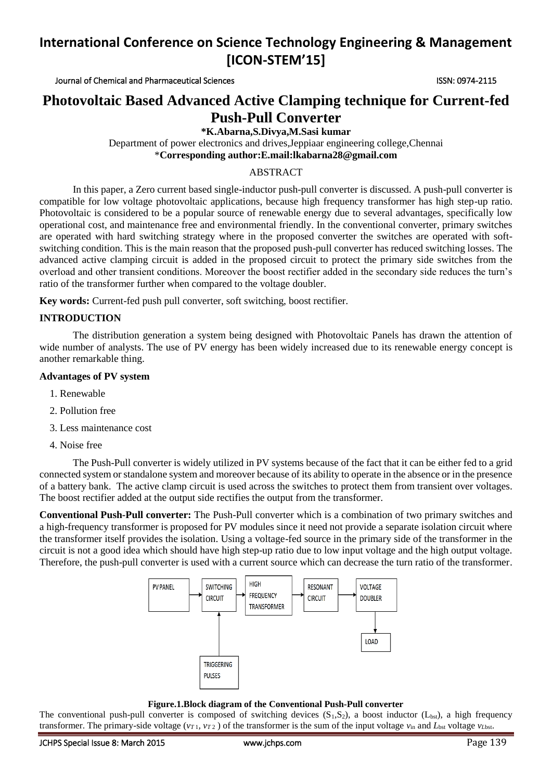# **International Conference on Science Technology Engineering & Management [ICON-STEM'15]**

Journal of Chemical and Pharmaceutical Sciences ISSN: 0974-2115

# **Photovoltaic Based Advanced Active Clamping technique for Current-fed Push-Pull Converter**

**\*K.Abarna,S.Divya,M.Sasi kumar**

Department of power electronics and drives,Jeppiaar engineering college,Chennai \***Corresponding author:E.mail:lkabarna28@gmail.com**

# ABSTRACT

In this paper, a Zero current based single-inductor push-pull converter is discussed. A push-pull converter is compatible for low voltage photovoltaic applications, because high frequency transformer has high step-up ratio. Photovoltaic is considered to be a popular source of renewable energy due to several advantages, specifically low operational cost, and maintenance free and environmental friendly. In the conventional converter, primary switches are operated with hard switching strategy where in the proposed converter the switches are operated with softswitching condition. This is the main reason that the proposed push-pull converter has reduced switching losses. The advanced active clamping circuit is added in the proposed circuit to protect the primary side switches from the overload and other transient conditions. Moreover the boost rectifier added in the secondary side reduces the turn's ratio of the transformer further when compared to the voltage doubler.

**Key words:** Current-fed push pull converter, soft switching, boost rectifier.

# **INTRODUCTION**

 The distribution generation a system being designed with Photovoltaic Panels has drawn the attention of wide number of analysts. The use of PV energy has been widely increased due to its renewable energy concept is another remarkable thing.

### **Advantages of PV system**

- 1. Renewable
- 2. Pollution free
- 3. Less maintenance cost
- 4. Noise free

The Push-Pull converter is widely utilized in PV systems because of the fact that it can be either fed to a grid connected system or standalone system and moreover because of its ability to operate in the absence or in the presence of a battery bank. The active clamp circuit is used across the switches to protect them from transient over voltages. The boost rectifier added at the output side rectifies the output from the transformer.

**Conventional Push-Pull converter:** The Push-Pull converter which is a combination of two primary switches and a high-frequency transformer is proposed for PV modules since it need not provide a separate isolation circuit where the transformer itself provides the isolation. Using a voltage-fed source in the primary side of the transformer in the circuit is not a good idea which should have high step-up ratio due to low input voltage and the high output voltage. Therefore, the push-pull converter is used with a current source which can decrease the turn ratio of the transformer.



### **Figure.1.Block diagram of the Conventional Push-Pull converter**

The conventional push-pull converter is composed of switching devices  $(S_1,S_2)$ , a boost inductor  $(L_{\text{bst}})$ , a high frequency transformer. The primary-side voltage ( $v_{T}$ ,  $v_{T2}$ ) of the transformer is the sum of the input voltage  $v_{\text{in}}$  and  $L_{\text{bst}}$  voltage  $v_{\text{Lbst}}$ .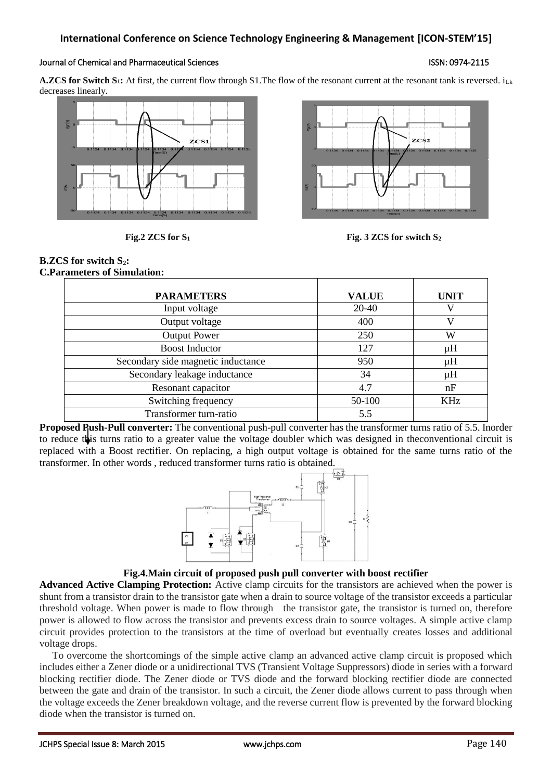#### Journal of Chemical and Pharmaceutical Sciences ISSN: 0974-2115

**A.ZCS for Switch S<sub>1</sub>:** At first, the current flow through S1. The flow of the resonant current at the resonant tank is reversed.  $i_{\text{Lk}}$ decreases linearly.





**Fig.2 ZCS for S<sup>1</sup> Fig. 3 ZCS for switch S<sup>2</sup>**

### **B.ZCS for switch S2: C.Parameters of Simulation:**

| <b>PARAMETERS</b>                  | <b>VALUE</b> | <b>UNIT</b> |
|------------------------------------|--------------|-------------|
| Input voltage                      | $20 - 40$    |             |
| Output voltage                     | 400          | V           |
| <b>Output Power</b>                | 250          | W           |
| <b>Boost Inductor</b>              | 127          | $\mu$ H     |
| Secondary side magnetic inductance | 950          | $\mu$ H     |
| Secondary leakage inductance       | 34           | $\mu$ H     |
| Resonant capacitor                 | 4.7          | nF          |
| Switching frequency                | 50-100       | <b>KHz</b>  |
| Transformer turn-ratio             | 5.5          |             |

**Proposed Push-Pull converter:** The conventional push-pull converter has the transformer turns ratio of 5.5. Inorder to reduce this turns ratio to a greater value the voltage doubler which was designed in theconventional circuit is replaced with a Boost rectifier. On replacing, a high output voltage is obtained for the same turns ratio of the transformer. In other words , reduced transformer turns ratio is obtained.



# **Fig.4.Main circuit of proposed push pull converter with boost rectifier**

**Advanced Active Clamping Protection:** Active clamp circuits for the transistors are achieved when the power is shunt from a transistor drain to the transistor gate when a drain to source voltage of the transistor exceeds a particular threshold voltage. When power is made to flow through the transistor gate, the transistor is turned on, therefore power is allowed to flow across the transistor and prevents excess drain to source voltages. A simple active clamp circuit provides protection to the transistors at the time of overload but eventually creates losses and additional voltage drops.

 To overcome the shortcomings of the simple active clamp an advanced active clamp circuit is proposed which includes either a Zener diode or a unidirectional TVS (Transient Voltage Suppressors) diode in series with a forward blocking rectifier diode. The Zener diode or TVS diode and the forward blocking rectifier diode are connected between the gate and drain of the transistor. In such a circuit, the Zener diode allows current to pass through when the voltage exceeds the Zener breakdown voltage, and the reverse current flow is prevented by the forward blocking diode when the transistor is turned on.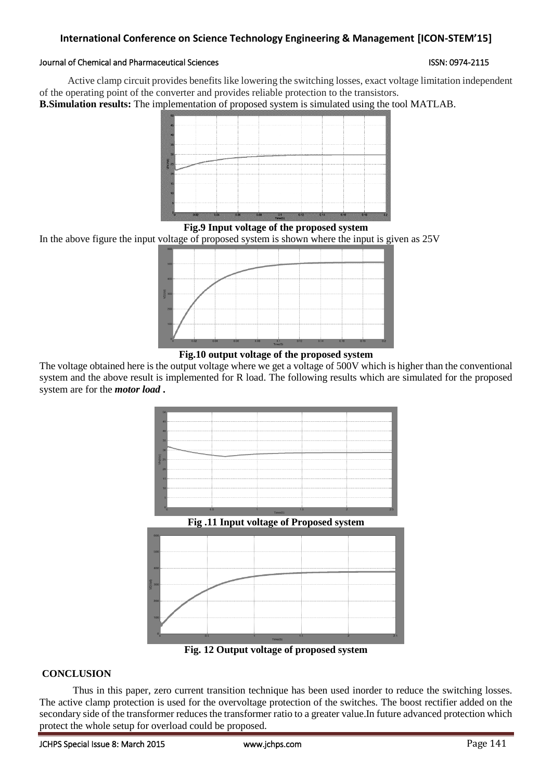# **International Conference on Science Technology Engineering & Management [ICON-STEM'15]**

## Journal of Chemical and Pharmaceutical Sciences **ISSN: 0974-2115** ISSN: 0974-2115

 Active clamp circuit provides benefits like lowering the switching losses, exact voltage limitation independent of the operating point of the converter and provides reliable protection to the transistors.

**B.Simulation results:** The implementation of proposed system is simulated using the tool MATLAB.



**Fig.9 Input voltage of the proposed system**

In the above figure the input voltage of proposed system is shown where the input is given as 25V



**Fig.10 output voltage of the proposed system**

The voltage obtained here is the output voltage where we get a voltage of 500V which is higher than the conventional system and the above result is implemented for R load. The following results which are simulated for the proposed system are for the *motor load* **.**



**Fig. 12 Output voltage of proposed system**

# **CONCLUSION**

Thus in this paper, zero current transition technique has been used inorder to reduce the switching losses. The active clamp protection is used for the overvoltage protection of the switches. The boost rectifier added on the secondary side of the transformer reduces the transformer ratio to a greater value.In future advanced protection which protect the whole setup for overload could be proposed.